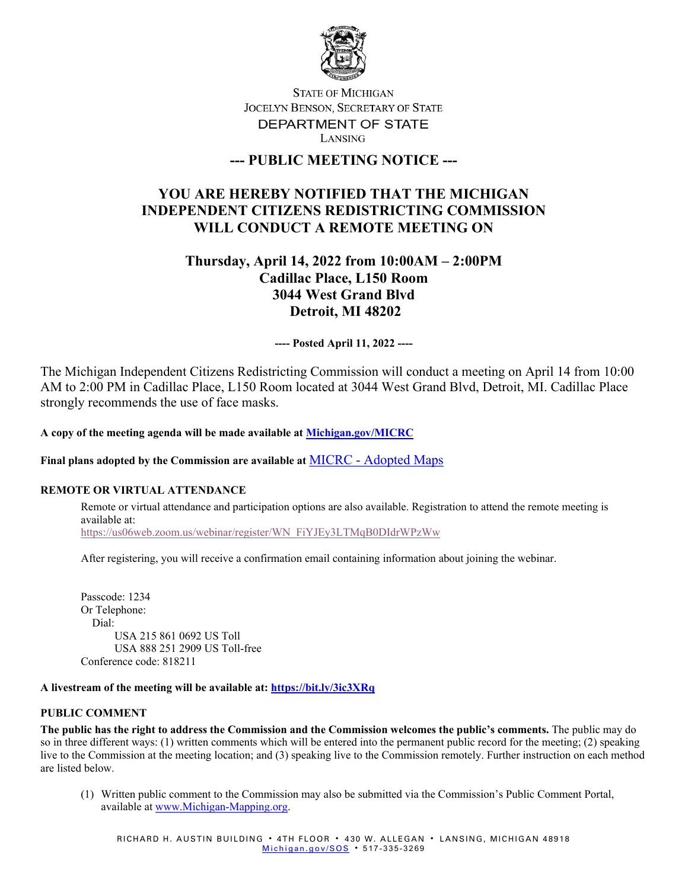

## **STATE OF MICHIGAN** JOCELYN BENSON, SECRETARY OF STATE DEPARTMENT OF STATE LANSING

## **--- PUBLIC MEETING NOTICE ---**

# **YOU ARE HEREBY NOTIFIED THAT THE MICHIGAN INDEPENDENT CITIZENS REDISTRICTING COMMISSION WILL CONDUCT A REMOTE MEETING ON**

# **Thursday, April 14, 2022 from 10:00AM – 2:00PM Cadillac Place, L150 Room 3044 West Grand Blvd Detroit, MI 48202**

**---- Posted April 11, 2022 ----**

The Michigan Independent Citizens Redistricting Commission will conduct a meeting on April 14 from 10:00 AM to 2:00 PM in Cadillac Place, L150 Room located at 3044 West Grand Blvd, Detroit, MI. Cadillac Place strongly recommends the use of face masks.

**A copy of the meeting agenda will be made available at [Michigan.gov/MICRC](http://www.michigan.gov/MICRC)**

**Final plans adopted by the Commission are available at** MICRC - [Adopted Maps](https://www.michigan.gov/micrc/0,10083,7-418-107190_108607---,00.html)

### **REMOTE OR VIRTUAL ATTENDANCE**

Remote or virtual attendance and participation options are also available. Registration to attend the remote meeting is available at: [https://us06web.zoom.us/webinar/register/WN\\_FiYJEy3LTMqB0DIdrWPzWw](https://us06web.zoom.us/webinar/register/WN_FiYJEy3LTMqB0DIdrWPzWw)

After registering, you will receive a confirmation email containing information about joining the webinar.

Passcode: 1234 Or Telephone: Dial: USA 215 861 0692 US Toll USA 888 251 2909 US Toll-free Conference code: 818211

#### **A livestream of the meeting will be available at:<https://bit.ly/3ic3XRq>**

#### **PUBLIC COMMENT**

**The public has the right to address the Commission and the Commission welcomes the public's comments.** The public may do so in three different ways: (1) written comments which will be entered into the permanent public record for the meeting; (2) speaking live to the Commission at the meeting location; and (3) speaking live to the Commission remotely. Further instruction on each method are listed below.

(1) Written public comment to the Commission may also be submitted via the Commission's Public Comment Portal, available at [www.Michigan-Mapping.org.](http://www.michigan-mapping.org/)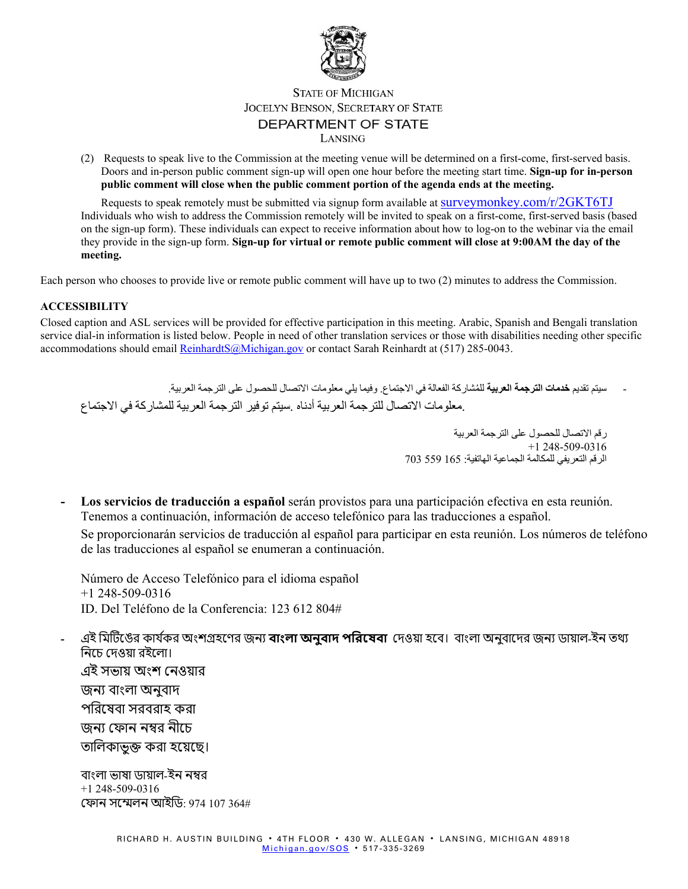

## **STATE OF MICHIGAN** JOCELYN BENSON, SECRETARY OF STATE DEPARTMENT OF STATE LANSING

(2) Requests to speak live to the Commission at the meeting venue will be determined on a first-come, first-served basis. Doors and in-person public comment sign-up will open one hour before the meeting start time. **Sign-up for in-person public comment will close when the public comment portion of the agenda ends at the meeting.**

Requests to speak remotely must be submitted via signup form available at [surveymonkey.com/r/2GKT6TJ](https://www.surveymonkey.com/r/2GKT6TJ) Individuals who wish to address the Commission remotely will be invited to speak on a first-come, first-served basis (based on the sign-up form). These individuals can expect to receive information about how to log-on to the webinar via the email they provide in the sign-up form. **Sign-up for virtual or remote public comment will close at 9:00AM the day of the meeting.**

Each person who chooses to provide live or remote public comment will have up to two (2) minutes to address the Commission.

#### **ACCESSIBILITY**

Closed caption and ASL services will be provided for effective participation in this meeting. Arabic, Spanish and Bengali translation service dial-in information is listed below. People in need of other translation services or those with disabilities needing other specific accommodations should email [ReinhardtS@Michigan.gov](mailto:ReinhardtS@Michigan.gov) or contact Sarah Reinhardt at (517) 285-0043.

سيتم تقديم **خدمات الترجمة العربية ل**لمُشاركة الفعالة في الاجتماع. وفيما يلي معلومات الاتصال للحصول على الترجمة العربية. .معلومات الاتصال للترجمة العربیة أدناه .سیتم توفیر الترجمة العربیة للمشاركة في الاجتماع

> رقم الاتصال للحصول على الترجمة العربیة  $+1$  248-509-0316 الرقم التعریفي للمكالمة الجماعیة الھاتفیة: 165 559 703

**- Los servicios de traducción a español** serán provistos para una participación efectiva en esta reunión. Tenemos a continuación, información de acceso telefónico para las traducciones a español.

Se proporcionarán servicios de traducción al español para participar en esta reunión. Los números de teléfono de las traducciones al español se enumeran a continuación.

Número de Acceso Telefónico para el idioma español +1 248-509-0316 ID. Del Teléfono de la Conferencia: 123 612 804#

- এই মিটিঙের কার্যকর অংশগ্রহণের জন্য **বাংলা অনুবাদ পরিষেবা** দেওয়া হবে। বাংলা অনুবাদের জন্য ডায়াল-ইন তথ্য িনেচ েদওয়া রইেলা।

এই সভায় অংশ েনওয়ার জন� বাংলা অনুবাদ পিরেষবা সরবরাহ করা জন্য ফোন নম্বর নীচে তালিকাভুক্ত করা হয়েছে।

বাংলা ভাষা ডায়াল-ইন ন�র +1 248-509-0316 েফান সে�লন আইিড: 974 107 364#